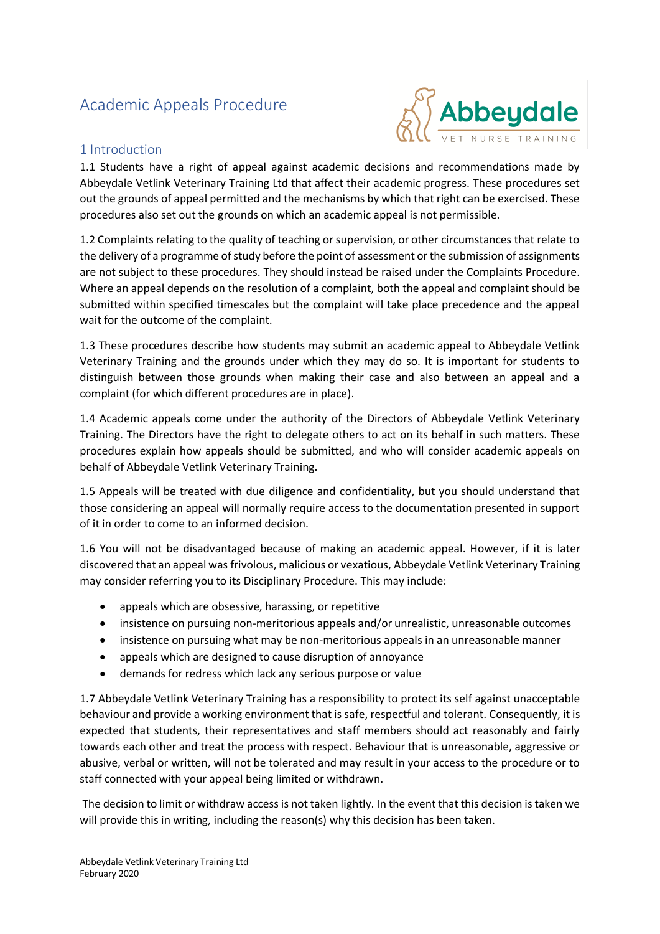# Academic Appeals Procedure



## 1 Introduction

1.1 Students have a right of appeal against academic decisions and recommendations made by Abbeydale Vetlink Veterinary Training Ltd that affect their academic progress. These procedures set out the grounds of appeal permitted and the mechanisms by which that right can be exercised. These procedures also set out the grounds on which an academic appeal is not permissible.

1.2 Complaints relating to the quality of teaching or supervision, or other circumstances that relate to the delivery of a programme of study before the point of assessment or the submission of assignments are not subject to these procedures. They should instead be raised under the Complaints Procedure. Where an appeal depends on the resolution of a complaint, both the appeal and complaint should be submitted within specified timescales but the complaint will take place precedence and the appeal wait for the outcome of the complaint.

1.3 These procedures describe how students may submit an academic appeal to Abbeydale Vetlink Veterinary Training and the grounds under which they may do so. It is important for students to distinguish between those grounds when making their case and also between an appeal and a complaint (for which different procedures are in place).

1.4 Academic appeals come under the authority of the Directors of Abbeydale Vetlink Veterinary Training. The Directors have the right to delegate others to act on its behalf in such matters. These procedures explain how appeals should be submitted, and who will consider academic appeals on behalf of Abbeydale Vetlink Veterinary Training.

1.5 Appeals will be treated with due diligence and confidentiality, but you should understand that those considering an appeal will normally require access to the documentation presented in support of it in order to come to an informed decision.

1.6 You will not be disadvantaged because of making an academic appeal. However, if it is later discovered that an appeal was frivolous, malicious or vexatious, Abbeydale Vetlink Veterinary Training may consider referring you to its Disciplinary Procedure. This may include:

- appeals which are obsessive, harassing, or repetitive
- insistence on pursuing non-meritorious appeals and/or unrealistic, unreasonable outcomes
- insistence on pursuing what may be non-meritorious appeals in an unreasonable manner
- appeals which are designed to cause disruption of annoyance
- demands for redress which lack any serious purpose or value

1.7 Abbeydale Vetlink Veterinary Training has a responsibility to protect its self against unacceptable behaviour and provide a working environment that is safe, respectful and tolerant. Consequently, it is expected that students, their representatives and staff members should act reasonably and fairly towards each other and treat the process with respect. Behaviour that is unreasonable, aggressive or abusive, verbal or written, will not be tolerated and may result in your access to the procedure or to staff connected with your appeal being limited or withdrawn.

The decision to limit or withdraw access is not taken lightly. In the event that this decision is taken we will provide this in writing, including the reason(s) why this decision has been taken.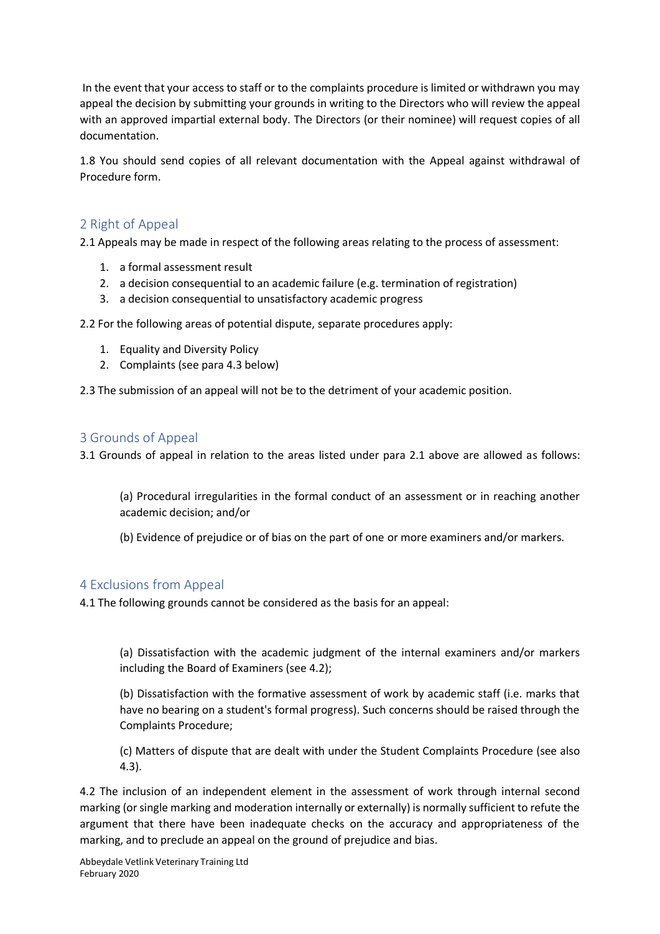In the event that your access to staff or to the complaints procedure is limited or withdrawn you may appeal the decision by submitting your grounds in writing to the Directors who will review the appeal with an approved impartial external body. The Directors (or their nominee) will request copies of all documentation.

1.8 You should send copies of all relevant documentation with the Appeal against withdrawal of Procedure form.

## 2 Right of Appeal

2.1 Appeals may be made in respect of the following areas relating to the process of assessment:

- 1. a formal assessment result
- 2. a decision consequential to an academic failure (e.g. termination of registration)
- 3. a decision consequential to unsatisfactory academic progress

2.2 For the following areas of potential dispute, separate procedures apply:

- 1. Equality and Diversity Policy
- 2. Complaints (see para 4.3 below)

2.3 The submission of an appeal will not be to the detriment of your academic position.

## 3 Grounds of Appeal

3.1 Grounds of appeal in relation to the areas listed under para 2.1 above are allowed as follows:

(a) Procedural irregularities in the formal conduct of an assessment or in reaching another academic decision; and/or

(b) Evidence of prejudice or of bias on the part of one or more examiners and/or markers.

### 4 Exclusions from Appeal

4.1 The following grounds cannot be considered as the basis for an appeal:

(a) Dissatisfaction with the academic judgment of the internal examiners and/or markers including the Board of Examiners (see 4.2);

(b) Dissatisfaction with the formative assessment of work by academic staff (i.e. marks that have no bearing on a student's formal progress). Such concerns should be raised through the Complaints Procedure;

(c) Matters of dispute that are dealt with under the Student Complaints Procedure (see also 4.3).

4.2 The inclusion of an independent element in the assessment of work through internal second marking (or single marking and moderation internally or externally) is normally sufficient to refute the argument that there have been inadequate checks on the accuracy and appropriateness of the marking, and to preclude an appeal on the ground of prejudice and bias.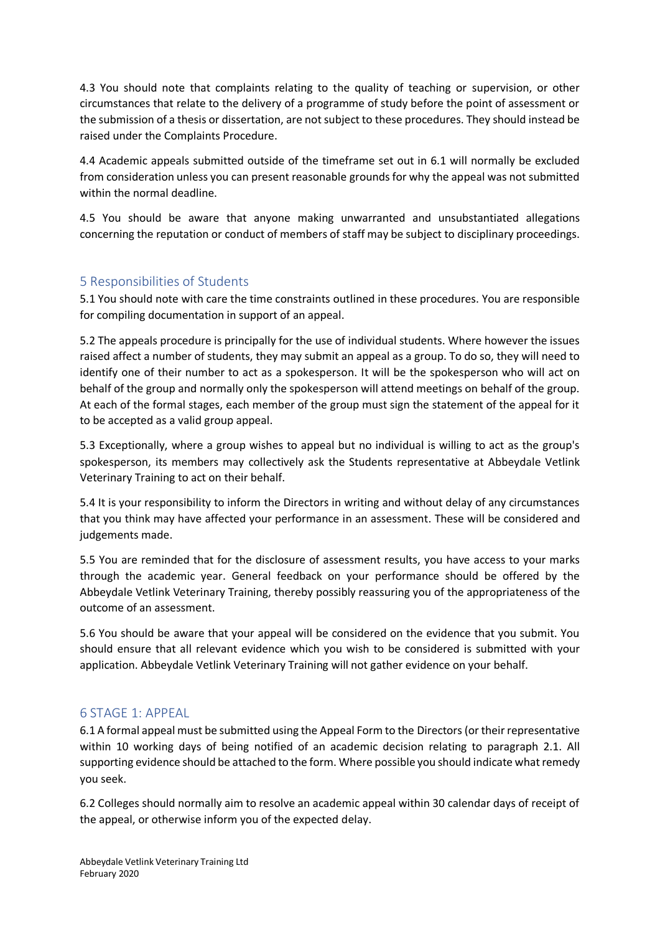4.3 You should note that complaints relating to the quality of teaching or supervision, or other circumstances that relate to the delivery of a programme of study before the point of assessment or the submission of a thesis or dissertation, are not subject to these procedures. They should instead be raised under the Complaints Procedure.

4.4 Academic appeals submitted outside of the timeframe set out in 6.1 will normally be excluded from consideration unless you can present reasonable grounds for why the appeal was not submitted within the normal deadline.

4.5 You should be aware that anyone making unwarranted and unsubstantiated allegations concerning the reputation or conduct of members of staff may be subject to disciplinary proceedings.

## 5 Responsibilities of Students

5.1 You should note with care the time constraints outlined in these procedures. You are responsible for compiling documentation in support of an appeal.

5.2 The appeals procedure is principally for the use of individual students. Where however the issues raised affect a number of students, they may submit an appeal as a group. To do so, they will need to identify one of their number to act as a spokesperson. It will be the spokesperson who will act on behalf of the group and normally only the spokesperson will attend meetings on behalf of the group. At each of the formal stages, each member of the group must sign the statement of the appeal for it to be accepted as a valid group appeal.

5.3 Exceptionally, where a group wishes to appeal but no individual is willing to act as the group's spokesperson, its members may collectively ask the Students representative at Abbeydale Vetlink Veterinary Training to act on their behalf.

5.4 It is your responsibility to inform the Directors in writing and without delay of any circumstances that you think may have affected your performance in an assessment. These will be considered and judgements made.

5.5 You are reminded that for the disclosure of assessment results, you have access to your marks through the academic year. General feedback on your performance should be offered by the Abbeydale Vetlink Veterinary Training, thereby possibly reassuring you of the appropriateness of the outcome of an assessment.

5.6 You should be aware that your appeal will be considered on the evidence that you submit. You should ensure that all relevant evidence which you wish to be considered is submitted with your application. Abbeydale Vetlink Veterinary Training will not gather evidence on your behalf.

### 6 STAGE 1: APPEAL

6.1 A formal appeal must be submitted using the Appeal Form to the Directors (or their representative within 10 working days of being notified of an academic decision relating to paragraph 2.1. All supporting evidence should be attached to the form. Where possible you should indicate what remedy you seek.

6.2 Colleges should normally aim to resolve an academic appeal within 30 calendar days of receipt of the appeal, or otherwise inform you of the expected delay.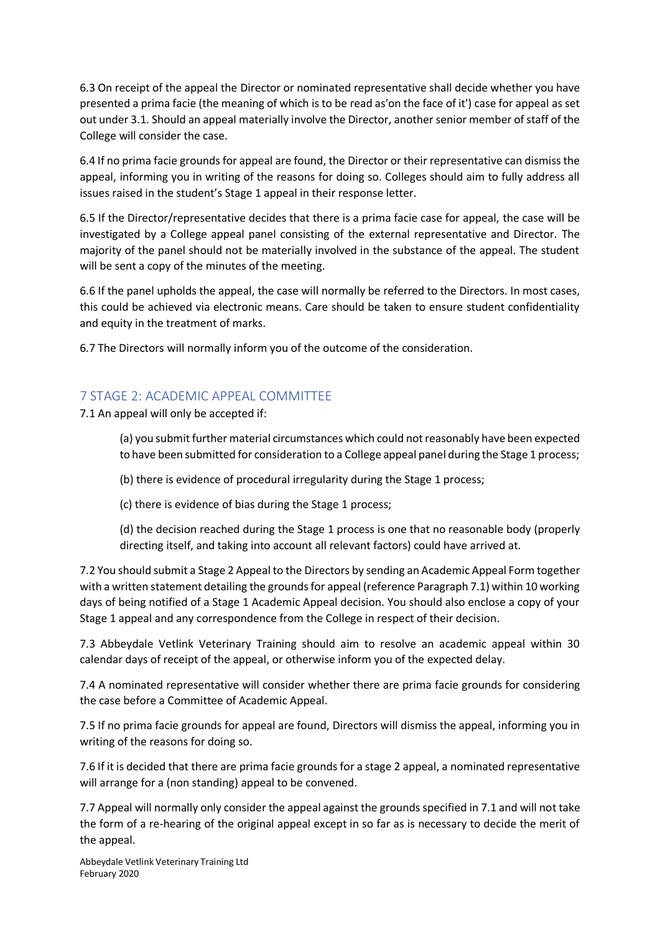6.3 On receipt of the appeal the Director or nominated representative shall decide whether you have presented a prima facie (the meaning of which is to be read as'on the face of it') case for appeal as set out under 3.1. Should an appeal materially involve the Director, another senior member of staff of the College will consider the case.

6.4 If no prima facie grounds for appeal are found, the Director or their representative can dismiss the appeal, informing you in writing of the reasons for doing so. Colleges should aim to fully address all issues raised in the student's Stage 1 appeal in their response letter.

6.5 If the Director/representative decides that there is a prima facie case for appeal, the case will be investigated by a College appeal panel consisting of the external representative and Director. The majority of the panel should not be materially involved in the substance of the appeal. The student will be sent a copy of the minutes of the meeting.

6.6 If the panel upholds the appeal, the case will normally be referred to the Directors. In most cases, this could be achieved via electronic means. Care should be taken to ensure student confidentiality and equity in the treatment of marks.

6.7 The Directors will normally inform you of the outcome of the consideration.

## 7 STAGE 2: ACADEMIC APPEAL COMMITTEE

7.1 An appeal will only be accepted if:

(a) you submit further material circumstances which could not reasonably have been expected to have been submitted for consideration to a College appeal panel during the Stage 1 process;

(b) there is evidence of procedural irregularity during the Stage 1 process;

(c) there is evidence of bias during the Stage 1 process;

(d) the decision reached during the Stage 1 process is one that no reasonable body (properly directing itself, and taking into account all relevant factors) could have arrived at.

7.2 You should submit a Stage 2 Appeal to the Directors by sending an Academic Appeal Form together with a written statement detailing the grounds for appeal (reference Paragraph 7.1) within 10 working days of being notified of a Stage 1 Academic Appeal decision. You should also enclose a copy of your Stage 1 appeal and any correspondence from the College in respect of their decision.

7.3 Abbeydale Vetlink Veterinary Training should aim to resolve an academic appeal within 30 calendar days of receipt of the appeal, or otherwise inform you of the expected delay.

7.4 A nominated representative will consider whether there are prima facie grounds for considering the case before a Committee of Academic Appeal.

7.5 If no prima facie grounds for appeal are found, Directors will dismiss the appeal, informing you in writing of the reasons for doing so.

7.6 If it is decided that there are prima facie grounds for a stage 2 appeal, a nominated representative will arrange for a (non standing) appeal to be convened.

7.7 Appeal will normally only consider the appeal against the grounds specified in 7.1 and will not take the form of a re-hearing of the original appeal except in so far as is necessary to decide the merit of the appeal.

Abbeydale Vetlink Veterinary Training Ltd February 2020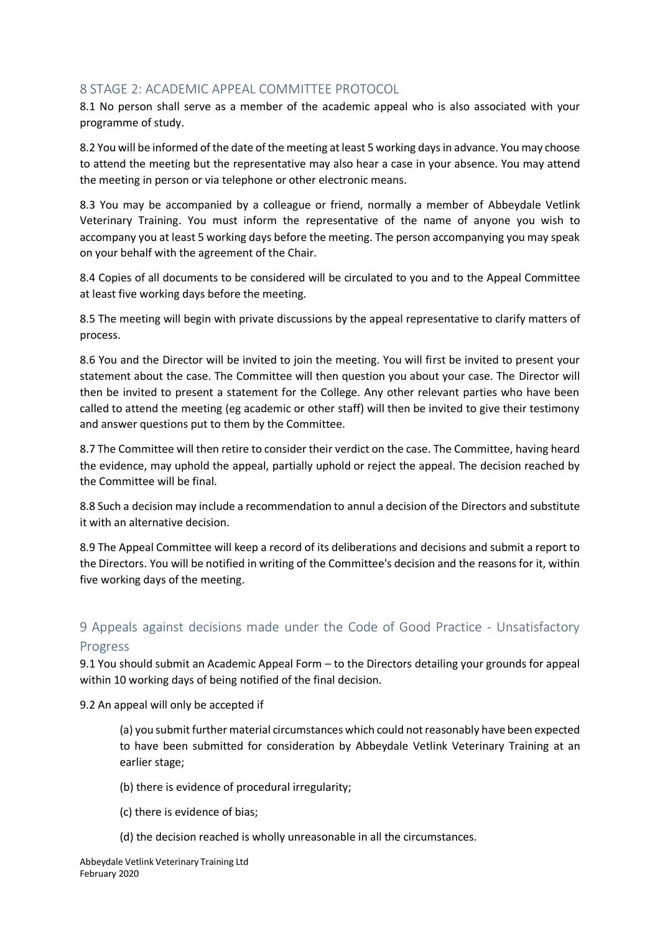## 8 STAGE 2: ACADEMIC APPEAL COMMITTEE PROTOCOL

8.1 No person shall serve as a member of the academic appeal who is also associated with your programme of study.

8.2 You will be informed of the date of the meeting at least 5 working days in advance. You may choose to attend the meeting but the representative may also hear a case in your absence. You may attend the meeting in person or via telephone or other electronic means.

8.3 You may be accompanied by a colleague or friend, normally a member of Abbeydale Vetlink Veterinary Training. You must inform the representative of the name of anyone you wish to accompany you at least 5 working days before the meeting. The person accompanying you may speak on your behalf with the agreement of the Chair.

8.4 Copies of all documents to be considered will be circulated to you and to the Appeal Committee at least five working days before the meeting.

8.5 The meeting will begin with private discussions by the appeal representative to clarify matters of process.

8.6 You and the Director will be invited to join the meeting. You will first be invited to present your statement about the case. The Committee will then question you about your case. The Director will then be invited to present a statement for the College. Any other relevant parties who have been called to attend the meeting (eg academic or other staff) will then be invited to give their testimony and answer questions put to them by the Committee.

8.7 The Committee will then retire to consider their verdict on the case. The Committee, having heard the evidence, may uphold the appeal, partially uphold or reject the appeal. The decision reached by the Committee will be final.

8.8 Such a decision may include a recommendation to annul a decision of the Directors and substitute it with an alternative decision.

8.9 The Appeal Committee will keep a record of its deliberations and decisions and submit a report to the Directors. You will be notified in writing of the Committee's decision and the reasons for it, within five working days of the meeting.

## 9 Appeals against decisions made under the Code of Good Practice - Unsatisfactory Progress

9.1 You should submit an Academic Appeal Form – to the Directors detailing your grounds for appeal within 10 working days of being notified of the final decision.

9.2 An appeal will only be accepted if

(a) you submit further material circumstances which could not reasonably have been expected to have been submitted for consideration by Abbeydale Vetlink Veterinary Training at an earlier stage;

(b) there is evidence of procedural irregularity;

- (c) there is evidence of bias;
- (d) the decision reached is wholly unreasonable in all the circumstances.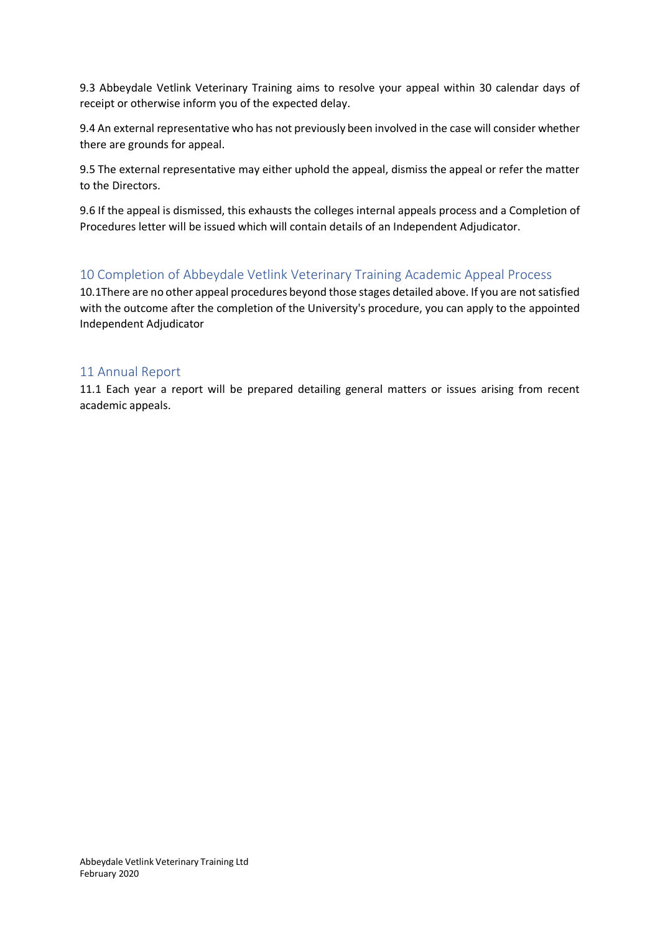9.3 Abbeydale Vetlink Veterinary Training aims to resolve your appeal within 30 calendar days of receipt or otherwise inform you of the expected delay.

9.4 An external representative who has not previously been involved in the case will consider whether there are grounds for appeal.

9.5 The external representative may either uphold the appeal, dismiss the appeal or refer the matter to the Directors.

9.6 If the appeal is dismissed, this exhausts the colleges internal appeals process and a Completion of Procedures letter will be issued which will contain details of an Independent Adjudicator.

## 10 Completion of Abbeydale Vetlink Veterinary Training Academic Appeal Process

10.1There are no other appeal procedures beyond those stages detailed above. If you are not satisfied with the outcome after the completion of the University's procedure, you can apply to the appointed Independent Adjudicator

#### 11 Annual Report

11.1 Each year a report will be prepared detailing general matters or issues arising from recent academic appeals.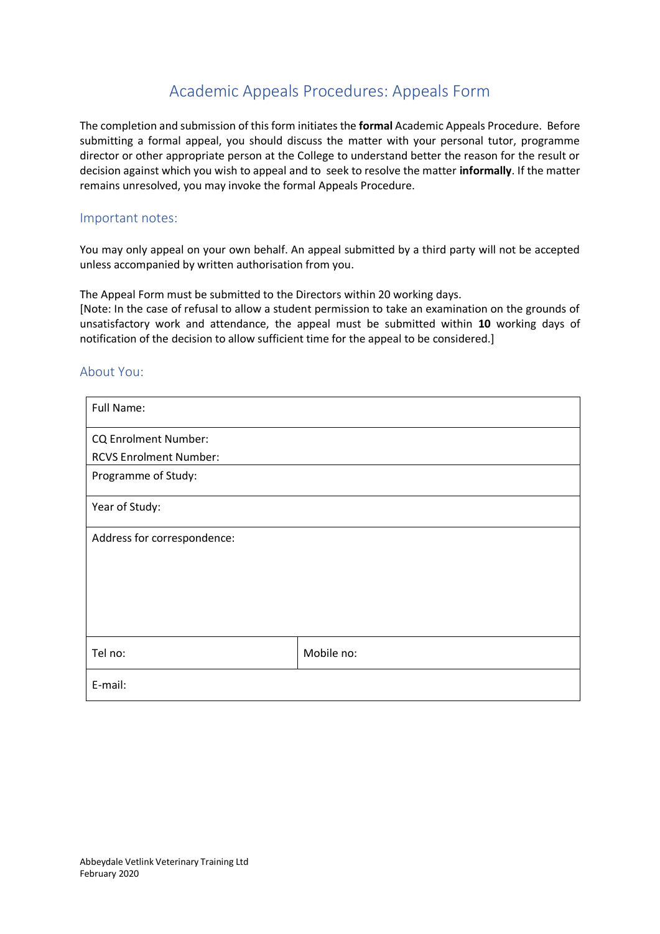# Academic Appeals Procedures: Appeals Form

The completion and submission of this form initiates the **formal** Academic Appeals Procedure. Before submitting a formal appeal, you should discuss the matter with your personal tutor, programme director or other appropriate person at the College to understand better the reason for the result or decision against which you wish to appeal and to seek to resolve the matter **informally**. If the matter remains unresolved, you may invoke the formal Appeals Procedure.

#### Important notes:

You may only appeal on your own behalf. An appeal submitted by a third party will not be accepted unless accompanied by written authorisation from you.

The Appeal Form must be submitted to the Directors within 20 working days.

[Note: In the case of refusal to allow a student permission to take an examination on the grounds of unsatisfactory work and attendance, the appeal must be submitted within **10** working days of notification of the decision to allow sufficient time for the appeal to be considered.]

### About You:

| Full Name:                    |            |
|-------------------------------|------------|
| <b>CQ Enrolment Number:</b>   |            |
| <b>RCVS Enrolment Number:</b> |            |
| Programme of Study:           |            |
| Year of Study:                |            |
| Address for correspondence:   |            |
|                               |            |
|                               |            |
|                               |            |
|                               |            |
| Tel no:                       | Mobile no: |
| E-mail:                       |            |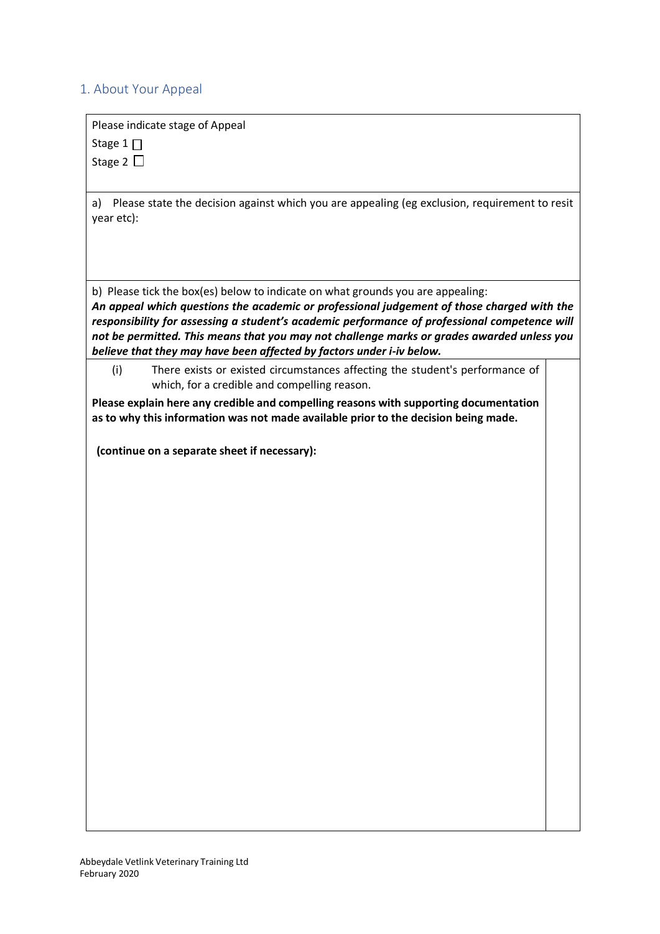## 1. About Your Appeal

Please indicate stage of Appeal

Stage 1 $\Pi$ 

Stage 2  $\Box$ 

a) Please state the decision against which you are appealing (eg exclusion, requirement to resit year etc):

b) Please tick the box(es) below to indicate on what grounds you are appealing:

*An appeal which questions the academic or professional judgement of those charged with the responsibility for assessing a student's academic performance of professional competence will not be permitted. This means that you may not challenge marks or grades awarded unless you believe that they may have been affected by factors under i-iv below.*

(i) There exists or existed circumstances affecting the student's performance of which, for a credible and compelling reason.

**Please explain here any credible and compelling reasons with supporting documentation as to why this information was not made available prior to the decision being made.**

**(continue on a separate sheet if necessary):**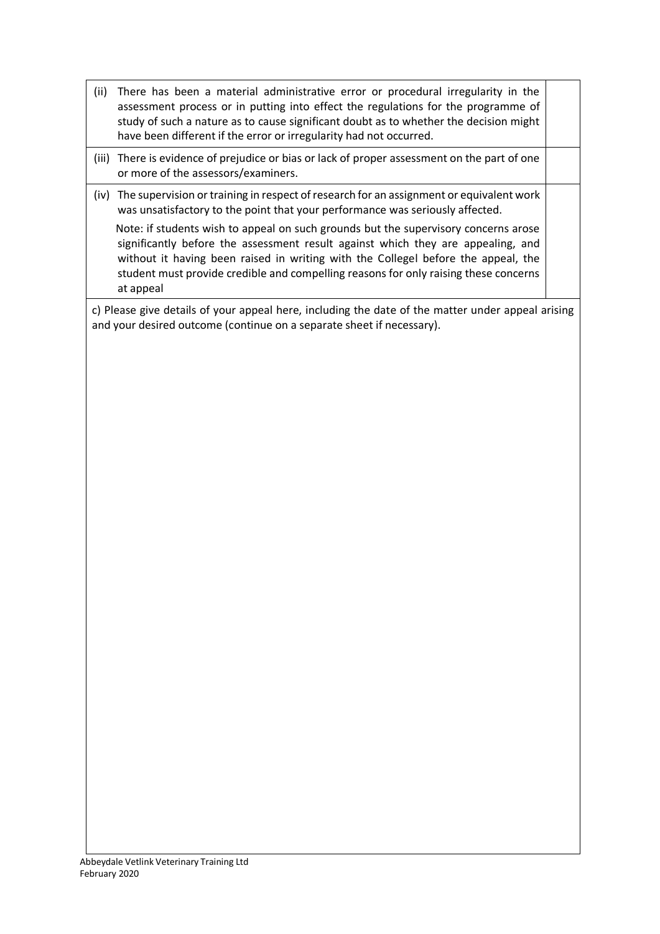- (ii) There has been a material administrative error or procedural irregularity in the assessment process or in putting into effect the regulations for the programme of study of such a nature as to cause significant doubt as to whether the decision might have been different if the error or irregularity had not occurred.
- (iii) There is evidence of prejudice or bias or lack of proper assessment on the part of one or more of the assessors/examiners.
- (iv) The supervision or training in respect of research for an assignment or equivalent work was unsatisfactory to the point that your performance was seriously affected.

 Note: if students wish to appeal on such grounds but the supervisory concerns arose significantly before the assessment result against which they are appealing, and without it having been raised in writing with the Collegel before the appeal, the student must provide credible and compelling reasons for only raising these concerns at appeal

c) Please give details of your appeal here, including the date of the matter under appeal arising and your desired outcome (continue on a separate sheet if necessary).